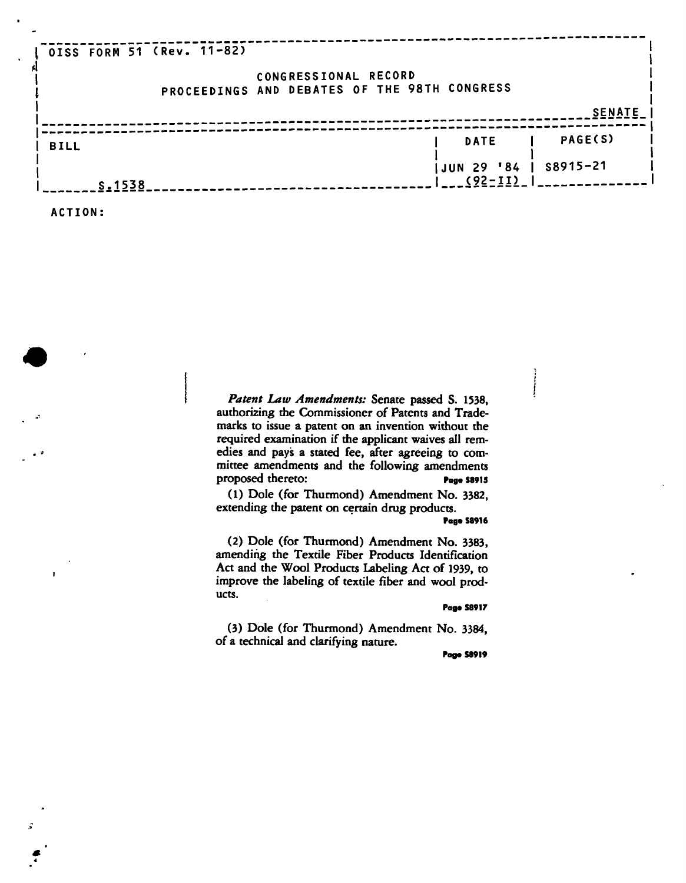| OISS FORM 51 (Rev. 11-82) |                                                                      |               |
|---------------------------|----------------------------------------------------------------------|---------------|
|                           | CONGRESSIONAL RECORD<br>PROCEEDINGS AND DEBATES OF THE 98TH CONGRESS |               |
|                           |                                                                      | <b>SENATE</b> |
|                           | <b>DATE</b>                                                          | PAGE(S)       |
| <b>BILL</b>               |                                                                      |               |
|                           | JUN 29 '84   S8915-21<br>$(92 - 11)$                                 |               |
| S.1538                    |                                                                      |               |
| ACTION:                   |                                                                      |               |

*Patent Law Amendments:* **Senate passed S. 1338, authorizing the Commissioner of Patents and Trademarks to issue a patent on an invention without the required examination if the applicant waives all remedies and pays a stated fee, after agreeing to committee amendments and the following amendments**  proposed thereto: Page S8915

1

**(1) Dole (for Thurmond) Amendment No. 3382, extending the patent on certain drug products.** 

**Page S89I6** 

 $\begin{array}{c} \begin{array}{c} \begin{array}{c} \begin{array}{c} \end{array}\\ \end{array} \end{array} \end{array}$ 

**(2) Dole (for Thurmond) Amendment No. 3383, amending the Textile Fiber Products Identification**  Act and the Wool Products Labeling Act of 1939, to **improve the labeling of textile fiber and wool products.** 

## **Page S8917**

**(3) Dole (for Thurmond) Amendment No. 3384, of a technical and clarifying nature.** 

**Page SS919**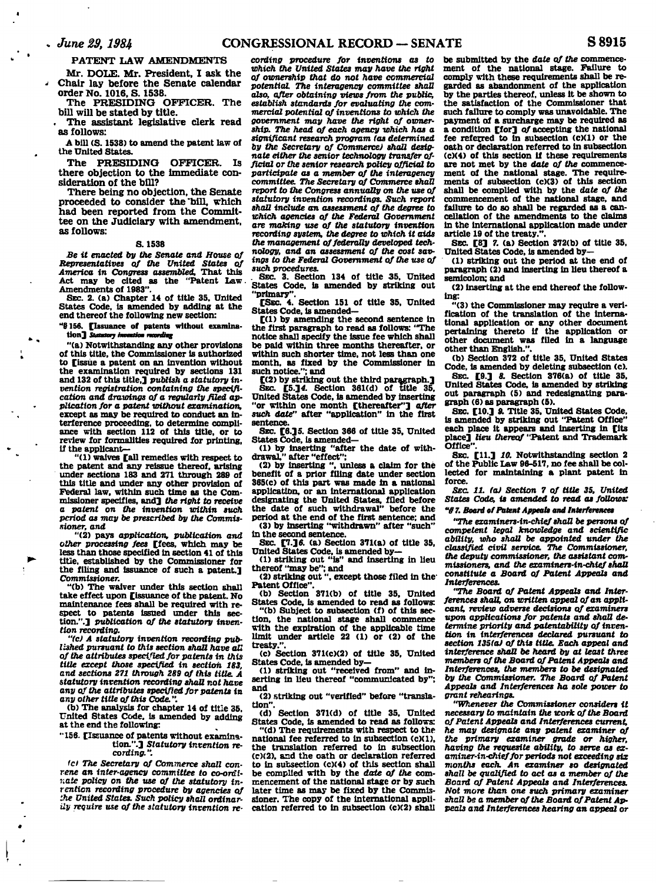## **PATENT LAW AMENDMENTS**

**Mr. DOLE. Mr. President, I ask the Chair lay before the Senate calendar** 

**order No. 1016, S. 1538. The PRESIDING OFFICER. The bill will be stated by title.** 

**. The assistant legislative clerk read** 

**as follows: A bill (S. 1538) to amend the patent law of** 

**the United States.** 

**The PRESIDING OFFICER. Is there objection to the immediate consideration of the bill?** 

**There being no objection, the Senate proceeded to consider the'bill, which had been reported from the Committee on the Judiciary with amendment, as follows:** 

### **S. 1538**

*Be it enacted by the Senate and House of Representatives of the United States of America in Congress assembled.* **That this Act may be cited as the "Patent Law. Amendments of 1983".** 

**SEC. 2. (a) Chapter 14 of title 35. United States Code, is amended by adding at the end thereof the following new section:** 

**"§156. [Issuance of patents without examination]** *Stautcrj immiim* **ranftg** 

 $\bullet$  .

**"(a) Notwithstanding any other provisions of this title, the Commissioner is authorized to [issue a patent on an invention without the examination required by sections 131 and 132 of this title,]** *publish a statutory invention registration containing the specification and drawings of a regularly filed application for a patent without examination,*  **except as may be required to conduct an interference proceeding, to determine compliance with section 112 of this title, or to review for formalities required for printing, if the applicant—** 

**"(1) waives [all remedies with respect to the patent and any reissue thereof, arising under sections 183 and 271 through 289 of this title and under any other provision of Federal law, within such time as the Commissioner specifies, and]** *the right to receive a patent on the invention within such period as may be prescribed by the Commissioner, and* 

**"(2) pays** *application, publication and other processing fees* **[fees, which may be less than those specified in section 41 of this title, established by the Commissioner for the filing and issuance of such a patent.]**  *Commissioner.* 

**"(b) The waiver under this section shall take effect upon [issuance of the patent. No maintenance fees shall be required with respect to patents issued under this sec-tion.".] publication** *of the statutory invention recording.* 

*"(c) A statutory invention recording published pursuant to this section shall have all of the attributes specified for patents in this title except those specified in section 183, and sections 271 through 289 of this title. A statutory invention recording shall not have any of the attributes specified for patents in any other title of this Code.".* 

**(b) The analysis for chapter 14 of title 35, United States Code, is amended by adding at the end the following:** 

# **"156. [Issuance of patents without examina-tion.".]** *Statutory invention recording.",*

*fc) The Secretary of Commerce shall convene an inter-agency committee to co-ordiv,ate policy on the use of the statutory invention recording procedure by agencies of '.he United States. Such policy shall ordinarily require use of the statutory invention re-*

*cording procedure for inventions as to which the United States may have the right of ownership that do not have commercial potential The interagency committee shall also, after obtaining views from the public, establish standards for evaluating the commercial potential of inventions to which the government may have the right of ownership. The head of each agency which has a significant research program (as determined by the Secretary of Commerce) shall designate either the senior technology transfer official or the senior research policy official to participate as a member of the interagency committee. The Secretary of Commerce shall report to the Congress annually on the* **use** *of statutory invention recordings. Such report shall include an assessment of the degree to which agencies of the Federal Government are making use of the statutory invention recording system, the degree to which it aids the management of federally developed technology,* **and an** *assessment of the cost savings to the Federal Government of the use of such procedures.* 

*.* **SEC. 3. Section 134 of title 35, United States Code, is amended by striking out** 

**"primary". [SEC. 4. Section 151 of title 35, United States Code, is amended— [(1) by amending the second sentence in** 

**the first paragraph to read as follows: "The notice shall specify the issue fee which shall be paid within three months thereafter, or within such shorter time, not less than one month, as fixed by the Commissioner in such notice."; and** 

**[(2) by striking out the third paragraph.] SEC. [5.]4. Section 361(d) of title 35, United States Code, is amended by inserting "or within one month [thereafter"]** *after such date"* **after "application" in the first sentence.** 

**SEC. [6.] 5. Section 366 of title 35, United States Code, is amended—** 

**(1) by inserting "after the date of with-drawal," after "effect";** 

**(2) by inserting ", unless a claim for the benefit of a prior filing date under section 365(c) of this part was made in a national application, or an international application designating the United States, filed before the date of such withdrawal" before the period at the end of the first sentence; and** 

**(3) by inserting "withdrawn" after "such" in the second sentence.** 

**SEC. [7.] 6. (a) Section 371(a) of title 35, United States Code, is amended by—** 

**(1) striking out "is" and inserting in lieu** 

**thereof "may be"; and (2) striking out", except those filed in the'** 

**Patent Office". (b) Section 371(b) of title 35, United States Code, is amended to read as follows:** 

**"(b) Subject to subsection (f) of this section, the national stage shall commence with the expiration of the applicable time limit under article 22 (1) or (2) of the**  treaty.

**(c) Section 371(c)(2) of title 35. United** 

**States Code, is amended by— (1) striking out "received from" and inserting in lieu thereof "communicated by"; and** 

**(2) striking out "verified" before "translation".** 

**(d) Section 371(d) of title 35. United States Code, is amended to read as follows:** 

**"(d) The requirements with respect to the national fee referred to in subsection (c)(1), the translation referred to in subsection (c)(2). and the oath or declaration referred to in subsection (c)(4) of this section shall be compiled with by the** *date of the* **com-mencement of the national stage or by such later time as may be fixed by the Commissioner. The copy of the international application referred to in subsection (c)(2) shall** 

**be submitted by the** *date of the* **commencement of the national stage. Failure to comply with these requirements shall be regarded as abandonment of the application by the parties thereof, unless it be shown to the satisfaction of the Commissioner that such failure to comply was unavoidable. The payment of a surcharge may be required as a condition [for]** *of* **accepting the national fee referred to in subsection (c)(1) or the oath or declaration referred to in subsection (c)(4) of this section if these requirements are not met by the** *date of the* **commencement of the national stage. The require-ments of subsection (c)(3) of this section shall be complied with by the** *date of the*  **commencement of the national stage, and failure to do so shall be regarded as a cancellation of the amendments to the claims in the international application made under article 19 of the treaty.".** 

**SEC. [8]** *7.* **(a) Section 372(b) of title 35, United States Code, is amended by—** 

**(1) striking out the period at the end of paragraph (2) and inserting in lieu thereof a semicolon; and** 

**(2) inserting at the end thereof the following:** 

**"(3) the Commissioner may require a verification of the translation of the international application or any other document pertaining thereto if the application or other document was filed in a language other than English.".** 

**(b) Section 372 of title 35, United States Code, is amended by deleting subsection (c).** 

**SEC. [9.]** *8.* **Section 376(a) of title 35, United States Code, is amended by striking out paragraph (5) and redesignating paragraph (6) as paragraph (5).** 

**SEC. [10.]** *9.* **Title 35. United States Code, is amended by striking out "Patent Office" each place it appears and inserting in [its place] lieu** *thereof* **"Patent and Trademark Office".** 

**SEC. [11.]** *10.* **Notwithstanding section 2 of the Public Law 96-517, no fee shall be collected for maintaining a plant patent in force.** 

*SEC. 11. (a) Section 7 of title 35, United States Code, is amended to read as follows: "§ 7. Board of Patent Appeals and Interferences* 

*"The examiners-in-chief shaU be persons of competent legal knowledge and scientific ability, who shall be appointed under the classified civil service. The Commissioner, the deputy commissioner, the assistant commissioners, and the examiners-in-chief shaU constitute a Board of Patent Appeals and Interferences.* 

*"The Board of Patent Appeals and Interferences shall, on written appeal of an applicant, review adverse decisions of examiners upon applications for patents and shall determine priority and patentability of inven-tion in interferences declared pursuant to section 135(a) of this title. Each appeal and interference shaU be heard by at least three members of the Board of Patent Appeals and Interferences, the members to be designated by the Commissioner. The Board of Patent Appeals and Interferences ha sole power to grant rehearings.* 

*"Whenever the Commissioner considers it necessary to maintain the work of the Board of Patent Appeals and Interferences current, he may designate any patent examiner of the primary examiner grade or higher, having the requesite* **ability,** *to serve as examiner-in-chief for periods not exceeding six months each. An examiner so designated shall be Qualified to act as a member of the Board of Patent Appeals and Interferences. Not more than one such primary examiner shall be a member of the Board of Patent Appeals and Interferences hearing an appeal or*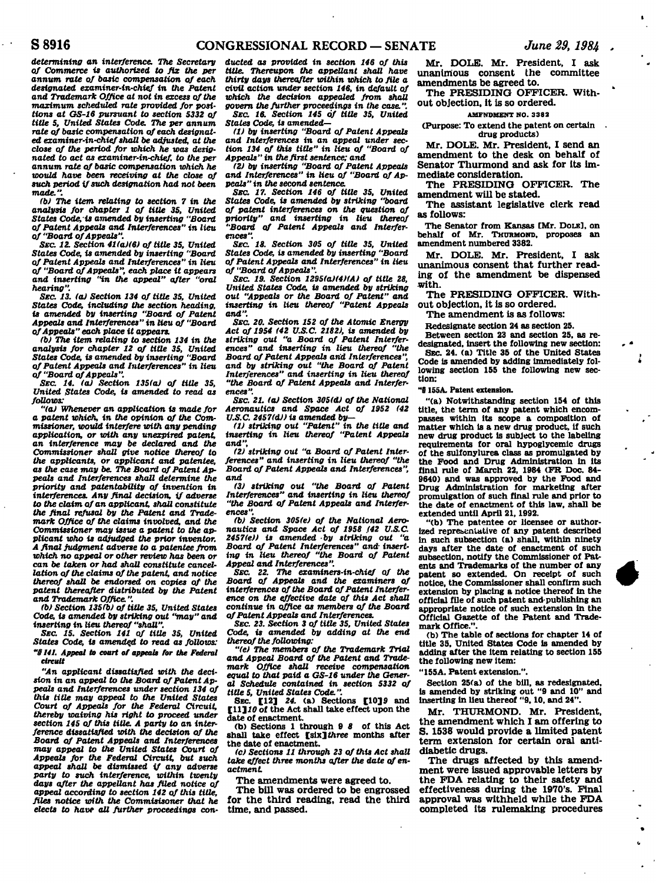*determining an interference. The Secretary of Commerce is authorized to fix the per annum rate of basic compensation of each designated examiner-in-chief in the Patent and Trademark Office at not in excess of the maximum scheduled rate provided for positions at GS-16 pursuant to section 5332 of title 5, United States Code. The per annum rate of basic compensation of each designated examiner-in-chief shall be adjusted, at the close of the period for which he was designated to act as examiner-in-chief, to the per*  **annum** *rate of basic compensation which he would have been receiving at the close of such period if such designation had not been made.".* 

*<b) The item relating to section 7 in the analysis for chapter 1 of title 35, United States Code,-is amended by inserting "Board of Patent Appeals and Interferences" in lieu of "Board of Appeals".* 

*SEC. 12. Section 41(a)(6) of title 35, United States Code, is amended by inserting "Board of Patent Appeals and Interferences" in lieu of "Board of Appeals", each place it appears and inserting "in the appeal" after "oral hearing".* 

*SEC 13. (a) Section 134 of title 35, United States Code, including the section heading, is amended by inserting "Board of Patent Appeals and Interferences" in lieu of "Board of Appeals" each place it appears.* 

*(b) The item relating to section 134 in the analysis for chapter 12 of title 35, United States Code, is amended by inserting "Board of Patent Appeals and Interferences" in lieu of "Board of Appeals".* 

*SEC. 14. (a) Section 135(a) of title 35, United States Code, is amended to read as follows:* 

*"(a) Whenever* **an** *application is made for*  **a** *patent which, in the opinion of the Commissioner, would interfere with any pending application, or with any unexpired patent, an interference may be declared and the Commissioner shall give notice thereof to the applicants, or applicant and patentee, as the case may be. The Board of Patent Appeals and Interferences shall determine the priority and patentability of invention in interferences. Any final decision, if adverse*  **to** *the claim of an applicant, shaU constitute the final refusal by the Patent and Trademark Office of the claims involved, and Vie Commissioner may issue a patent to the applicant who is adjudged the prior inventor. A final judgment adverse to a patentee from which no appeal or other review has been or can be taken or had shall constitute cancellation of the claims of the patent, and notice thereof shall be endorsed on copies of the patent thereafter distributed by the Patent and Trademark Office.".* 

*(b) Section 135(b) of title 35, United States Code, is amended by striking out "may" and inserting in lieu thereof "shall".* 

*SEC. 15. Section 141 of title 35, United States Code, is amended to read as follows: "§141. Appeal* **to** *court of appeals for the Federal circuit* 

*"An applicant dissatisfied with the decision in an appeal to the Board of Patent Appeals and Interferences under section 134 of this title may appeal to the United States Court of Appeals for the Federal Circuit, thereby waiving his right to proceed under section 145 of this title. A party to* **an** *interference dissatisfied with the decision of the Board of Patent Appeals and Interferences may appeal to the United States Court of Appeals for the Federal Circuit, but such appeal shall be dismissed if any adverse party to such interference, within twenty days after the appellant has filed notice of appeal according to section 142 of this title, files notice with the Commisisoner that he elects to have all further proceedings con-*

*ducted as provided in section 146 of this title. Thereupon the appellant shall have thirty days thereafter within which to file a civil action under section 146, in default of which the decision appealed from shall govern the further proceedings in the case.". SEC. 16. Section 145 of title 35, United States Code, is amended—* 

(1) by inserting "Board of Patent Appeals<br>and Interferences in an appeal under sec-<br>tion 134 of this title" in lieu of "Board of<br>Appeals" in the first sentence; and<br>(2) by inserting "Board of Patent Appeals<br>and Interferen

*peals" in the second sentence.* 

*SEC. 17. Section 146 of title 35, United States Code, is amended by striking "board of patent interferences on the question of priority" and inserting in lieu thereof "Board of Patent Appeals and Interferences".* 

*SEC. 18. Section 305 of title 35, United States Code, is amended by inserting "Board of Patent Appeals and Interferences" in lieu of "Board of Appeals".* 

*SEC. 19. Section 1295(a)(4)(A) of title 28, United States Code, is amended by striking out "Appeals or the Board of Patent" and inserting in lieu thereof "Patent Appeals and".* 

*SEC. 20. Section 152 of the Atomic Energy Act of 1954 (42 U.S.C. 2182), is amended by striking out "a Board of Patent Interferences" and inserting* **in** *lieu thereof "the Board of Patent Appeals and Interferences", and by striking out "the Board of Patent Interferences" and inserting in lieu thereof "the Board of Patent Appeals and Interferences".* 

*SEC. 21. (a) Section 305(d) of the National Aeronautics and Space Act of 1952 (42 U.S.C. 2457(d)) is amended by—* 

*(1) striking out "Patent" in the title and inserting in lieu thereof "Patent Appeals and",* 

*(2) striking out "a Board of Patent Interferences" and inserting in lieu thereof "the Board of Patent Appeals and Interferences", and* 

*(3) striking out "the Board of Patent Interferences" and inserting in lieu thereof "the Board of Patent Appeals and Interferences".* 

*(b) Section 305(e) of the National Aero-*<br>nautics and Space Act of 1958 *(42 U.S.C. 2457(e)) is amended -by striking out "a Board of Patent Interferences" and- inserting in lieu thereof "the Board of Patent Appeal and Interferences".* 

*SEC. 22. The examiners-in-chief of the Board of Appeals and the examiners of interferences of the Board of Patent Interference on the effective date of this Act shall continue in office as members of the Board of Patent Appeals and Interferences.* 

*SEC. 23. Section 3 of title 35, United States Code, is amended by adding at the end thereof the following:* 

*"(e) The members of the Trademark Trial and Appeal Board of the Patent and Trademark Office shall receive compensation equal to that paid* **a** *GS-16 under the General Schedule contained in section 5332 of title 5, United States Code.".* 

**SEC. [12]** *24.* **(a) Sections [10]9 and [11]** *10* **of the Act shall take effect upon the date of enactment.** 

**(b) Sections 1 through 9** *8* **of this Act shall take effect** *[six] three* **months after the date of enactment.** 

*(c) Sections 11 through 23 of this Act shall take effect three months after the date of enactment* 

**The amendments were agreed to.** 

**The bill was ordered to be engrossed for the third reading, read the third time, and passed.** 

**Mr. DOLE. Mr. President, I ask unanimous consent the committee amendments be agreed to.** 

**The PRESIDING OFFICER. Without objection, it is so ordered.** 

#### **AMENDMENT NO. 3382**

**(Purpose: To extend the patent on certain drug products)** 

**Mr. DOLE. Mr. President, I send an amendment to the desk on behalf of Senator Thurmond and ask for its immediate consideration.** 

**The PRESIDING OFFICER. The amendment will be stated.** 

**The assistant legislative clerk read as follows:** 

**The Senator from Kansas [Mr. DOLE], on behalf of Mr. THURMOND, proposes an amendment numbered 3382.** 

**Mr. DOLE. Mr. President, I ask unanimous consent that further reading of the amendment be dispensed with.** 

**The PRESIDING OFFICER. Without objection, it is so ordered.** 

**The amendment is as follows:** 

**Redesignate section 24 as section 25.** 

**Between section 23 and section 25, as redesignated. Insert the following new section: SEC. 24. (a) Title 35 of the United States Code is amended by adding immediately following section 155 the following new sec-**

**"8155A. Patent extension.** 

**tion:** 

**"(a) Notwithstanding section 154 of this title, the term of any patent which encompasses within its scope a composition of matter which is a new drug product, if such new drug product is subject to the labeling requirements for oral hypoglycemic drugs of the sulfonylurea class as promulgated by the Food and Drug Administration in its final rule of March 22, 1984 (FR Doc. 84- 9640) and was approved by the Food and Drug Administration for marketing after promulgation of such final rule and prior to the date of enactment of this law, shall be extended until April 21,1992.** 

**"(b) The patentee or licensee or authorized representative of any patent described in such subsection (a) shall, within ninety days after the date of enactment of such subsection, notify the Commissioner of Patents and Trademarks of the number of any patent so extended. On receipt of such notice, the Commissioner shall confirm such extension by placing a notice thereof in the official file of such patent and'publishing an appropriate notice of such extension in the Official Gazette of the Patent and Trademark Office.".** 

**(b) The table of sections for chapter 14 of title 35, United States Code is amended by adding after the item relating to section 155 the following new item:** 

**"155A. Patent extension.".** 

**Section 25(a) of the bill, as redesignated, is amended by striking out "9 and 10" and inserting in lieu thereof "9,10, and 24".** 

**Mr. THURMOND. Mr. President, the amendment which I am offering to S. 1538 would provide a limited patent term extension for certain oral antidiabetic drugs.** 

**The drugs affected by this amendment were issued approvable letters by the FDA relating to their safety and effectiveness during the 1970's. Final approval was withheld while the FDA completed its rulemaking procedures**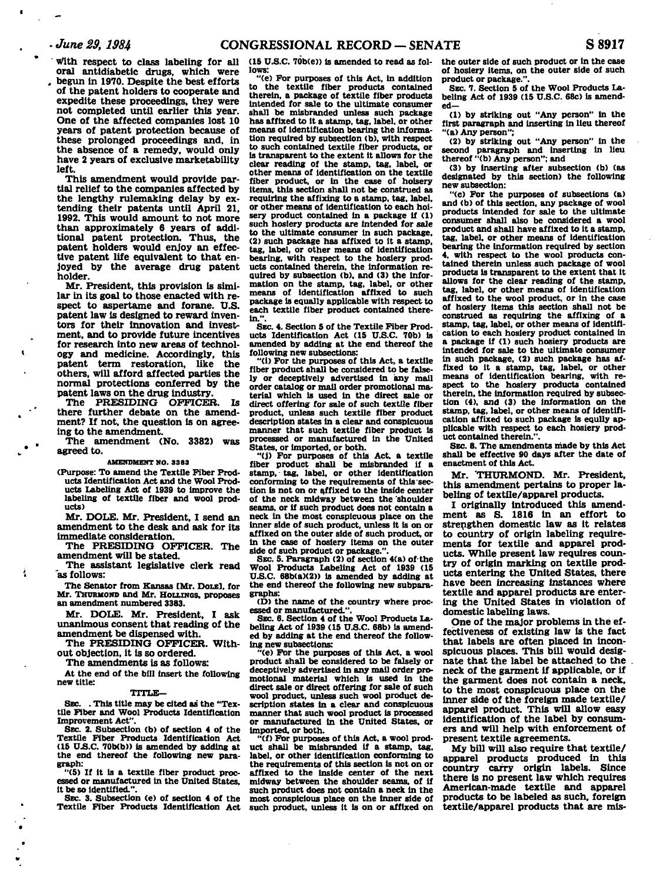**' with respect to class labeling for all oral antidiabetic drugs, which were** 

*.* **begun in 1970. Despite the best efforts of the patent holders to cooperate and expedite these proceedings, they were not completed until earlier this year. One of the affected companies lost 10 years of patent protection because of these prolonged proceedings and, in the absence of a remedy, would only have 2 years of exclusive marketability left.** 

**This amendment would provide partial relief to the companies affected by the lengthy rulemaking delay by extending their patents until April 21, 1992. This would amount to not more than approximately 6 years of additional patent protection. Thus, the patent holders would enjoy an effective patent life equivalent to that enjoyed by the average drug patent holder.** 

**Mr. President, this provision is similar in its goal to those enacted with respect to aspertame and forane. U.S. patent law is designed to reward inventors for their innovation and investment, and to provide future incentives for research into new areas of technology and medicine. Accordingly, this patent term restoration, like the others, will afford affected parties the normal protections conferred by the**  patent laws on the drug industry.

**The PRESIDING OFFICER. Is there further debate on the amendment? If not, the question is on agreeing to the amendment.** 

**The amendment (No. 3382) was agreed to.** 

#### **AMENDMENT NO. 3383**

**(Purpose: To amend the Textile Fiber Products Identification Act and the Wool Products Labeling Act of 1939 to improve the labeling of textile fiber and wool products)** 

**Mr. DOLE. Mr. President, I send an amendment to the desk and ask for its immediate consideration.** 

**The PRESIDING OFFICER. The amendment will be stated.** 

**The assistant legislative clerk read 'as follows:** 

**The Senator from Kansas [Mr. DOLE], for Mr. THURMOND and Mr. HOLLENCS, proposes** 

an amendment numbered 3303.<br>**May DOIE** May Decele **Mr. DOLE. Mr. President, I ask unanimous consent that reading of the amendment be dispensed with.** 

**The PRESIDING OFFICER. Without objection, it is so ordered.** 

**The amendments is as follows:** 

**At the end of the bill insert the following new title:** 

## **TITLE—**

**SEC. . This title may be cited as the "Textile Fiber and Wool Products Identification Improvement Act".** 

**SEC. 2. Subsection (b) of section 4 of the Textile Fiber Products Identification Act (15 U.S.C. 70b(b)) is amended by adding at the end thereof the following new paragraph:** 

**"(5) If it is a textile fiber product processed or manufactured in the United States, it be so identified.".** 

**SEC. 3. Subsection (e) of section 4 of the Textile Fiber Products Identification Act** 

**(15 U.S.C. 70b(e» is amended to read as follows:** 

**"(e) For purposes of this Act, in addition to the textile fiber products contained therein, a package of textile fiber products intended for sale to the ultimate consumer shall be misbranded unless such package has affixed to it a stamp, tag, label, or other means of identification bearing the information required by subsection (b). with respect to such contained textile fiber products, or is transparent to the extent it allows for the clear reading of the stamp, tag, label, or other means of identification on the textile fiber product, or in the case of hoisery items, this section shall not be construed as requiring the affixing to a stamp, tag, label, or other means of identification to each hoisery product contained in a package if (1) such hosiery products are intended for sale to the ultimate consumer in such package, (2) such package has affixed to it a stamp, tag, label, or other means of identification bearing, with respect to the hosiery products contained therein, the information re-**<br>quired by subsection (b), and (3) the inforquired by subsection (b), and (3) the information on the stamp, tag, label, or other means of identification affixed to such package is equally applicable with respect to each textile fiber product contained there-<br>in.".

**SEC. 4. Section 5 of the Textile Fiber Products Identification Act (15 U.S.C. 70b) is amended by adding at the end thereof the following new subsections:** 

**"(i) For the purposes of this Act, a textile fiber product shall be considered to be falsely or deceptively advertised in any mail order catalog or mail order promotional material which is used in the direct sale or direct offering for sale of such textile fiber product, unless such textile fiber product description states in a clear and conspicuous manner that such textile fiber product is processed or manufactured in the United States, or imported, or both.** 

**"(j) For purposes of this Act. a textile fiber product shall be misbranded if a stamp, tag, label, or other identification conforming to the requirements of this section is not on or affixed to the inside center of the neck midway between the 'shoulder seams, or if such product does not contain a neck in the most conspicuous place on the inner side of such product, unless it is on or affixed on the outer side of such product, or in the case of hosiery items on the outer side of such product or package.".** 

**SEC. 5. Paragraph (2) of section 4(a) of the Wool Products Labeling Act of 1939 (15 U.S.C. 68b(a)(2)) is amended by adding at the end thereof the following new subparagraphs:** 

**(D) the name of the country where processed or manufactured.".** 

**SEC. 6. Section 4 of the Wool Products Labeling Act of 1939 (15 U.S.C. 68b) is amended by adding at the end thereof the following new subsections:** 

**"(e) For the purposes of this Act, a wool product shall be considered to be falsely or deceptively advertised in any mail order promotional material which is used in the direct sale or direct offering for sale of such wool product, unless such wool product description states in a clear and conspicuous manner that such wool product is processed or manufactured in the United States, or imported, or both.** 

**"(f) For purposes of this Act. a wool prod-uct shall be misbranded if a stamp, tag, label, or other identification conforming to the requirements of this section is not on or affixed to the inside center of the next midway between the shoulder seams, of if such product does not contain a neck in the most conspicious place on the inner side of such product, unless it is on or affixed on** 

**the outer side of such product or in the case of hosiery items, on the outer side of such product or package.".** 

**SEC. 7. Section 5 of the Wool Products Labeling Act of 1939 (15 U.S.C. 68c) is amende d-**

**(1) by striking out "Any person" in the first paragraph and inserting in lieu thereof "(a) Any person";** 

**(2) by striking out "Any person" in the second paragraph and inserting in lieu thereof "(b) Any person"; and** 

**(3) by inserting after subsection (b) (as designated by this section) the following new subsection:** 

**"(c) For the purposes of subsections (a) and (b) of this section, any package of wool products intended for sale to the ultimate consumer shall also be considered a wool product and shall have affixed to it a stamp, tag, label, or other means of identification bearing the information required by section 4, with respect to the wool products contained therein unless such package of wool products is transparent to the extent that it allows for the clear reading of the stamp, tag, label, or other means of identification affixed to the wool product, or in the case of hosiery items this section shall not be construed as requiring the affixing of a stamp, tag, label, or other means of identification to each hosiery product contained in a package if (1) such hosiery products are intended for sale to the ultimate consumer in such package, (2) such package has affixed to it a stamp, tag, label, or other means of identification bearing, with respect to the hosiery products contained therein, the information required by subsection (4), and (3) the information on the stamp, tag, label, or other means of Identification affixed to such package is eqully applicable with respect to each hosiery product contained therein.".** 

**SEC. 8. The amendments made by this Act shall be effective 90 days after the date of enactment of this Act.** 

**Mr. THURMOND. Mr. President, this amendment pertains to proper labeling of textile/apparel products.** 

**I originally introduced this amendment as S. 1816 in an effort to strengthen domestic law as it relates to country of origin labeling requirements for textile and apparel products. While present law requires country of origin marking on textile products entering the United States, there have been increasing instances where textile and apparel products are entering the United States in violation of domestic labeling laws.** 

**One of the major problems in the effectiveness of existing law is the fact that labels are often placed in inconspicuous places. This bill would designate that the label be attached to the neck of the garment if applicable, or if the garment does not contain a neck, to the most conspicuous place on the inner side of the foreign made textile/ apparel product. This will allow easy identification of the label by consumers and will help with enforcement of present textile agreements.** 

**My bill will also require that textile/ apparel products produced in this country carry origin labels. Since there is no present law which requires American-made textile and apparel products to be labeled as such, foreign textile/apparel products that are mis-**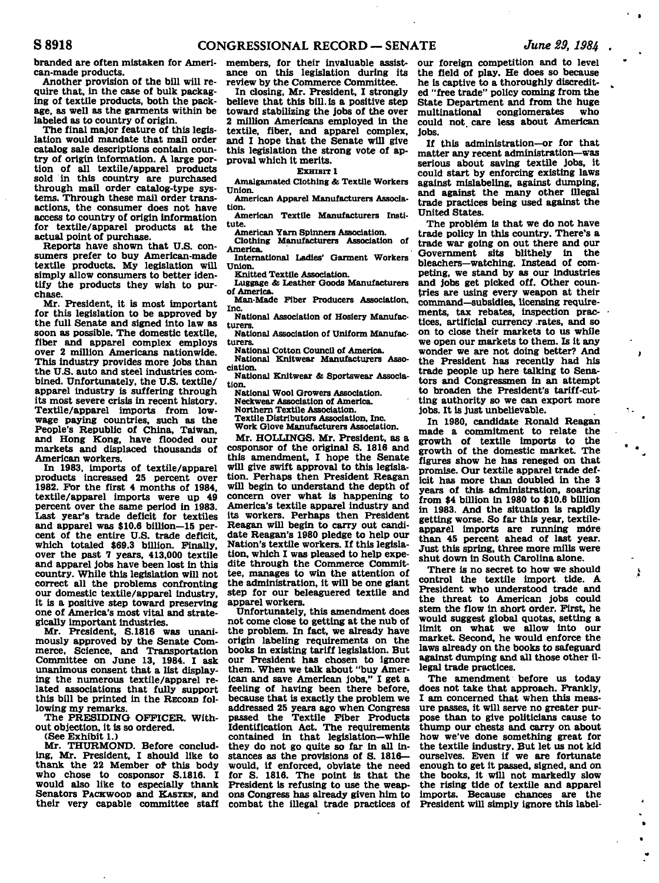**branded are often mistaken for American-made products.** 

**Another provision of the bill will require that, in the case of bulk packaging of textile products, both the package, as well as the garments within be labeled as to country of origin.** 

**The final major feature of this legislation would mandate that mail order catalog sale descriptions contain country of origin information. A large portion of all textile/apparel products sold in this country are purchased through mail order catalog-type systems. Through these mail order transactions, the consumer does not have access to country of origin information for textile/apparel products at the actual point of purchase.** 

**Reports have shown that U.S. consumers prefer to buy American-made textile products. My legislation will simply allow consumers to better identify the products they wish to purchase.** 

**Mr. President, it is most important for this legislation to be approved by the full Senate and signed into law as soon as possible. The domestic textile, fiber and apparel complex employs over 2 million Americans nationwide. This industry provides more jobs than the U.S. auto and steel industries combined. Unfortunately, the U.S. textile/ apparel industry is suffering through its most severe crisis in recent history. Textile/apparel imports from lowwage paying countries, such as the People's Republic of China, Taiwan, and Hong Kong, have flooded our markets and displaced thousands of American workers.** 

**In 1983, imports of textile/apparel products increased 25 percent over 1982. For the first 4 months of 1984, textile/apparel imports were up 49 percent over the same period in 1983. Last year's trade deficit for textiles and apparel was \$10.6 billion—15 percent of the entire U.S. trade deficit, which totaled \$69.3 billion. Finally, over the past 7 years, 413,000 textile and apparel jobs have been lost in this country. While this legislation will not correct all the problems confronting our domestic textile/apparel industry, it is a positive step toward preserving one of America's most vital and strategically important industries.** 

**Mr. President, S.1816 was unanimously approved by the Senate Commerce, Science, and Transportation Committee on June 13, 1984. I ask unanimous consent that a list displaying the numerous textile/apparel related associations that fully support this bill be printed in the RECORD following my remarks.** 

**The PRESIDING OFFICER. Without objection, it is so ordered.** 

**(See Exhibit 1.)** 

**Mr. THURMOND. Before concluding, Mr. President, I should like to thank the 22 Member of this body who chose to cosponsor S.1816. I would also like to especially thank Senators PACKWOOD and KASTEN, and their very capable committee staff** 

**members, for their invaluable assistance on this legislation during its review by the Commerce Committee.** 

**In closing, Mr. President, I strongly believe that this bill, is a positive step toward stabilizing the jobs of the over 2 million Americans employed in the textile, fiber, and apparel complex, and I hope that the Senate will give this legislation the strong vote of approval which it merits.** 

## **EXHIBIT 1**

**Amalgamated Clothing** *&* **Textile Workers Union.** 

**American Apparel Manufacturers Association.** 

**American Textile Manufacturers Institute.** 

**American Yarn Spinners Association.** 

**Clothing Manufacturers Association of America.** 

**International Ladies' Garment Workers Union.** 

**Knitted Textile Association.** 

**Luggage** *&* **Leather Goods Manufacturers of America.** 

**Man-Made Fiber Producers Association, Inc.** 

**National Association of Hosiery Manufacturers.** 

**National Association of Uniform Manufacturers.** 

**National Cotton Council of America.** 

**National Knitwear Manufacturers Association.** 

**National Knitwear & Sportswear Association.** 

**National Wool Growers Association. Neckwear Association of America. Northern Textile Association.** 

**Textile Distributors Association. Inc.** 

**Work Glove Manufacturers Association.** 

**Mr. HOLLINGS. Mr. President, as a cosponsor of the original S. 1816 and this amendment, I hope the Senate will give swift approval to this legislation. Perhaps then President Reagan will begin to understand the depth of concern over what is happening to America's textile apparel industry and its workers. Perhaps then President Reagan will begin to carry out candidate Reagan's 1980 pledge to help our Nation's textile workers. If this legislation, which I was pleased to help expedite through the Commerce Committee, manages to win the attention of the administration, it will be one giant step for our beleaguered textile and apparel workers.** 

**Unfortunately, this amendment does not come close to getting at the nub of the problem. In fact, we already have origin labeling requirements on the books in existing tariff legislation. But our President has chosen to ignore them. When we talk about "buy American and save American jobs," I get a feeling of having been there before, because that is exactly the problem we addressed 25 years ago when Congress passed the Textile Fiber Products Identification Act. The requirements contained in that legislation—while they do not go quite so far in all instances as the provisions of S. 1816 would, if enforced, obviate the need for S. 1816. The point is that the President is refusing to use the weapons Congress has already given him to combat the illegal trade practices of** 

**our foreign competition and to level the field of play. He does so because he is captive to a thoroughly discredited "free trade" policy coming from the State Department and from the huge**  multinational conglomerates **could not. care less about American jobs.** 

**If this administration—or for that matter any recent administration—was serious about saving textile jobs, it could start by enforcing existing laws against mislabeling, against dumping, and against the many other illegal trade practices being used against the United States.** 

**The problem is that we do not have trade policy in this country. There's a trade war going on out there and pur**  Government sits blithely in **bleachers—watching. Instead of competing, we stand by as our industries and jobs get picked off. Other countries are using every weapon at their command—subsidies, licensing requirements, tax rebates, inspection practices, artificial currency .rates, and so on to close their markets to us while we open our markets to them. Is it any wonder we are not doing better? And the President has recently had his trade people up here talking to Senators and Congressmen in an attempt to broaden the President's tariff-cutting authority so we can export more jobs. It is just unbelievable.** 

**In 1980, candidate Ronald Reagan made a commitment to relate the growth of textile imports to the growth of the domestic market. The figures show he has reneged on that promise. Our textile apparel trade deficit has more than doubled in the 3 years of this administration, soaring from \$4 billion in 1980 to \$10.6 billion in 1983. And the situation is rapidly getting worse. So far this year, textileapparel imports are running more than 45 percent ahead of last year. Just this spring, three more mills were shut down in South Carolina alone.** 

**There is no secret to how we should control the textile import tide. A President who understood trade and the threat to American jobs could stem the flow in short order. First, he would suggest global quotas, setting a limit on what we allow into our market. Second, he would enforce the laws already on the books to safeguard against dumping and all those other illegal trade practices.** 

Á

 $\bullet$ 

**The amendment before us today does not take that approach. Frankly, I am concerned that when this measure passes, it will serve no greater purpose than to give politicians cause to thump our chests and carry on about how we've done something great for the textile industry. But let us not kid ourselves. Even if we are fortunate enough to get it passed, signed, and on the books, it will not markedly slow the rising tide of textile and apparel imports. Because chances are the President will simply ignore this label-**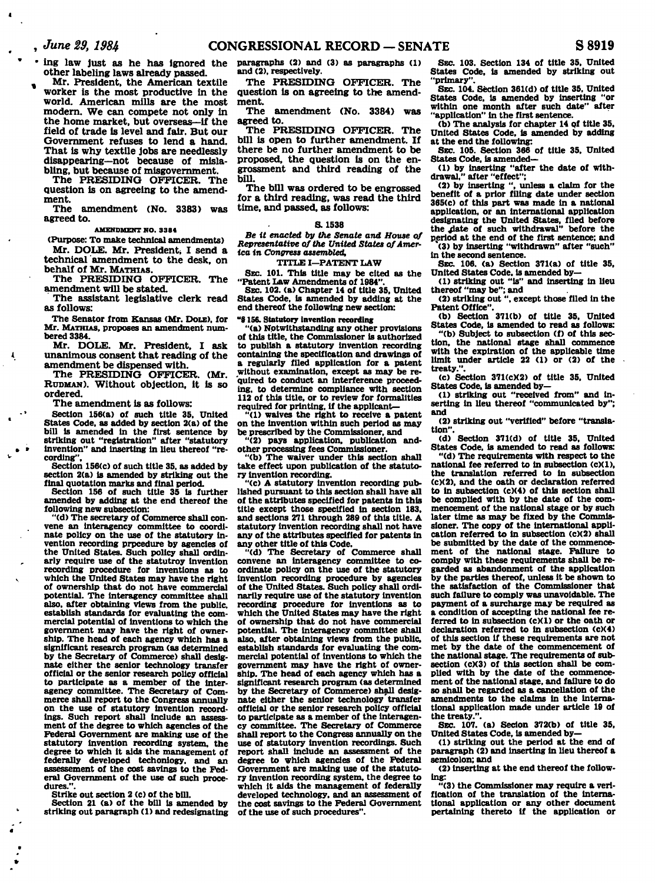- **' ing law just as he has ignored the other labeling laws already passed.**
- **, Mr. President, the American textile worker is the most productive in the world. American mills are the most modern. We can compete not only in the home market, but overseas—if the field of trade is level and fair. But our Government refuses to lend a hand. That is why textile jobs are needlessly disappearing—not because of mislabling, but because of misgovernment.**

**The PRESIDING OFFICER. The question is on agreeing to the amendment.** 

**The amendment (No. 3383) was agreed to.** 

## **AMENDMENT NO. 3384**

**(Purpose: To make technical amendments)** 

**Mr. DOLE. Mr. President, I send a technical amendment to the desk, on behalf of Mr. MATHIAS.** 

**The PRESIDING OFFICER. The amendment will be stated.** 

**The assistant legislative clerk read as follows:** 

**The Senator from Kansas (Mr. DOLE), for Mr. MATHIAS, proposes an amendment numbered 3384.** 

**Mr. DOLE. Mr. President, I ask unanimous consent that reading of the amendment be dispensed with.** 

**The PRESIDING OFFICER. (Mr. RUDMAN). Without objection, it is so ordered.** 

**The amendment is as follows:** 

Ą

**Section 156(a) of such title 35, United States Code, as added by section 2(a) of the bill is amended in the first sentence by striking out "registration" after "statutory invention" and inserting in lieu thereof "recording".** 

**Section 156(c) of such title 35, as added by section 2(a) is amended by striking out the final quotation marks and final period.** 

**Section 156 of such title 35 is further amended by adding at the end thereof the following new subsection:** 

**"(d) The secretary of Commerce shall convene an interagency committee to coordinate policy on the use of the statutory invention recording prpcedure by agencies of the United States. Such policy shall ordinarly require use of the statutroy invention recording procedure for inventions as to which the United States may have the right of ownership that do not have commercial potential. The interagency committee shall also, after obtaining views from the public, establish standards for evaluating the commercial potential of inventions to which the government may have the right of ownership. The head of each agency which has a significant research program (as determined by the Secretary of Commerce) shall designate either the senior technology transfer official or the senior research policy official to participate as a member of the inter-agency committee. The Secretary of Commerce shall report to the Congress annually on the use of statutory invention record-ings. Such report shall include an assessment of the degree to which agencies of the Federal Government are making use of the statutory invention recording system, the degree to which it aids the management of federally developed techonlogy. and an assessement of the cost savings to the Federal Government of the use of such proce**dures."

**Strike out section 2 (c) of the bill.** 

**Section 21 (a) of the bill is amended by striking out paragraph (1) and redesignating** 

**paragraphs (2) and (3) as paragraphs (1) and (2), respectively.** 

**The PRESIDING OFFICER. The question is on agreeing to the amendment.** 

**The amendment (No. 3384) was agreed to.** 

**The PRESIDING OFFICER. The bill is open to further amendment. If there be no further amendment to be proposed, the question is on the engrossment and third reading of the bill.** 

**The bill was ordered to be engrossed for a third reading, was read the third time, and passed, as follows:** 

### **S. 1538**

*Be it enacted by the Senate and House of Representative of the United States of America in Congress assembled,* 

## **TITLE I—PATENT LAW**

**SEC. 101. This title may be cited as the "Patent Law Amendments of 1984".** 

**SEC. 102. (a) Chapter 14 of title 35. United States Code, is amended by adding at the end thereof the following new section:** 

**"0156. Statutory invention recording** 

**"(a) Notwithstanding any other provisions of this title, the Commissioner is authorized to publish a statutory invention recording containing the specification and drawings of a regularly filed application for a patent without examination, except as may be re-quired to conduct an interference proceeding, to determine compliance with section 112 of this title, or to review for formalities**  required for printing, if the applicant

**"(1) waives the right to receive a patent on the invention within such period as may be prescribed by the Commissioner, and** 

**"(2) pays application, publication and-**

**other processing fees Commissioner. "(b) The waiver under this section shall take effect upon publication of the statutory invention recording.** 

**"(c) A statutory invention recording published pursuant to this section shall have all of the attributes specified for patents in this title except those specified in section 183, and sections 271 through 289 of this title. A statutory invention recording shall not have any of the attributes specified for patents in** 

**any other title of this Code. "(d) The Secretary of Commerce shall convene an interagency committee to coordinate policy on the use of the statutory invention recording procedure by agencies of the United States. Such policy shall ordinarily require use of the statutory invention recording procedure for inventions as to which the United States may have the right of ownership that do not have commercial potential. The Interagency committee shall also, after obtaining views from the public, establish standards for evaluating the commercial potential of inventions to which the government may have the right of ownership. The head of each agency which has a significant research program (as determined by the Secretary of Commerce) shall designate either the senior technology transfer official or the senior research policy official to participate as a member of the interagency committee. The Secretary of Commerce shall report to the Congress annually on the use of statutory invention recordings. Such report shall include an assessment of the degree to which agencies of the Federal Government are making use of the statutory invention recording system, the degree to which it aids the management of federally developed technology, and an assessment of the cost savings to the Federal Government of the use of such procedures".** 

**SEC. 103. Section 134 of title 35. United States Code, is amended by striking out "primary".** 

**SEC. 104. Section 361(d) of title 35, United States Code, is amended by inserting "or within one month after such date" after "application" in the first sentence.** 

**(b) The analysis for chapter 14 of title 35, United States Code, is amended by adding at the end the following:** 

**SEC. 105. Section 366 of title 35. United States Code, is amended—** 

**(1) by inserting "after the date of with-drawal." after "effect":** 

**(2) by inserting ", unless a claim for the benefit of a prior filing date under section 365(c) of this part was made in a national application, or an international application**  designating the United States, filed before the date of such withdrawal" before the **period at the end of the first sentence; and (3) by inserting "withdrawn" after "such"** 

**in the second sentence. SEC. 106. (a) Section 371(a) of title 35,** 

**United States Code, is amended by— (1) striking out "Is" and inserting in lieu** 

**thereof "may be"; and (2) striking out ", except those filed in the** 

**Patent Office".** 

**(b) Section 371(b) of title 35, United States Code, is amended to read as follows: "(b) Subject to subsection (f) of this sec-**

**tion, the national stage shall commence with the expiration of the applicable time limit under article 22 (1) or (2) of the** 

**(c) Section 371(cX2) of title 35, United States Code, is amended by-**

**(1) striking out "received from" and inserting in lieu thereof "communicated by"; and** 

**(2) striking out "verified" before "translation".** 

**(d) Section 371(d) of title 35, United States Code, is amended to read as follows:** 

**"(d) The requirements with respect to the national fee referred to in subsection (c)(1), the translation referred to in subsection (c)(2), and the oath or declaration referred to in subsection (c)(4) of this section shall be compiled with by the date of the commencement of the national stage or by such later time as may be fixed by the Commissioner. The copy of the international application referred to in subsection (c)(2) shall be submitted by the date of the commencement of the national stage. Failure to comply with these requirements shall be regarded as abandonment of the application by the parties thereof, unless it be shown to the satisfaction of the Commissioner that such failure to comply was unavoidable. The payment of a surcharge may be required as a condition of accepting the national fee referred to in subsection (cKl) or the oath or declaration referred to In subsection (c)(4) of this section if these requirements are not met by the date of the commencement of the national stage. The requirements of subsection (c)(3) of this section shall be complied with by the date of the commencement of the national stage, and failure to do so shall be regarded as a cancellation of the amendments to the claims in the international application made under article 19 of the treaty.".** 

**SEC. 107. (a) Secion 372(b) of title 35.**  United States Code, is amended by-

**(1) striking out the period at the end of paragraph (2) and inserting in lieu thereof a semicolon; and** 

**(2) inserting at the end thereof the following:** 

**"(3) the Commissioner may require a verification of the translation of the international application or any other document pertaining thereto if the application or**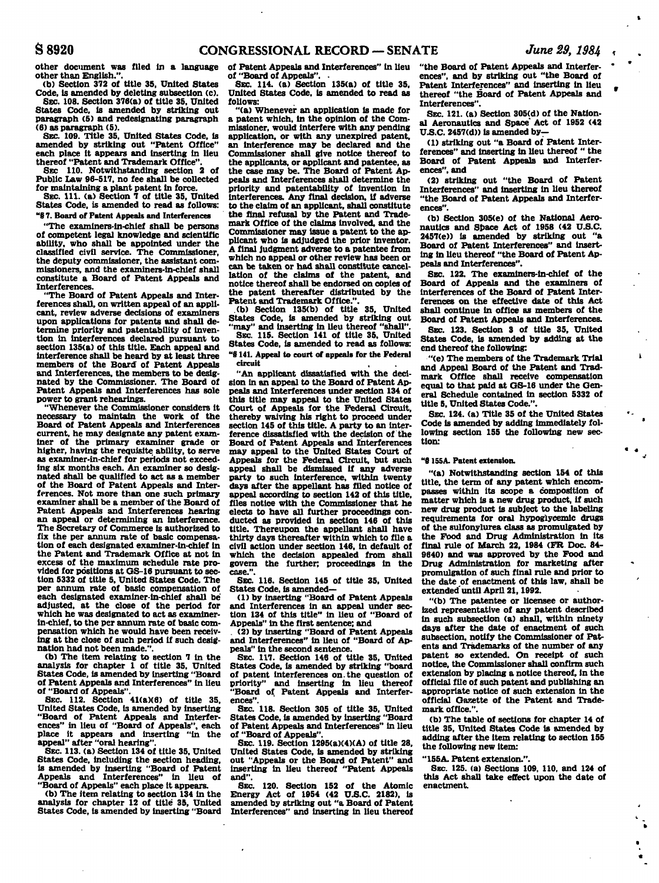**other document was filed in a language other than English.".** 

**(b) Section 372 of title 35, United States Code, is amended by deleting subsection (c). SEC. 108. Section 376(a) of title 35. United** 

**States Code, is amended by striking out paragraph (5) and redesignating paragraph (6) as paragraph (5).** 

**SEC. 109. Title 35, United States Code, is amended by striking out "Patent Office" each place it appears and inserting in lieu thereof "Patent and Trademark Office".** 

**SEC 110. Notwithstanding section 2 of Public Law 96-517, no fee shall be collected for maintaining a plant patent in force.** 

**SEC. 111. (a) Section 7 of title 35, United States Code, is amended to read as follows: "8 7. Board of Patent Appeals and Interferences** 

**"The examiners-ln-chief shall be persons of competent legal knowledge and scientific ability, who shall be appointed under the classified civil service. The Commissioner, the deputy commissioner, the assistant commissioners, and the examiners-in-chief shall constitute a Board of Patent Appeals and Interferences.** 

**"The Board of Patent Appeals and Interferences shall, on written appeal of an applicant, review adverse decisions of examiners upon applications for patents and shall determine priority and patentability of invention in interferences declared pursuant to section 135(a) of this title. Each appeal and Interference shall be heard by at least three members of the Board of Patent Appeals and Interferences, the members to be designated by the Commissioner. The Board of Patent Appeals and Interferences has sole power to grant rehearings.** 

**"Whenever the Commissioner considers It necessary to maintain the work of the Board of Patent Appeals and Interferences current, he may designate any patent examiner of the primary examiner grade or higher, having the requisite ability, to serve as examiner-in-chief for periods not exceeding six months each. An examiner so designated shall be qualified to act as a member of the Board of Patent Appeals and Interferences. Not more than one such primary examiner shall be a member of the Board of Patent Appeals and Interferences hearing an appeal or determining an interference. The Secretary of Commerce is authorized to fix the per annum rate of basic compensation of each designated examiner-in-chief in the Patent and Trademark Office at not in excess of the maximum schedule rate provided for positions at GS-16 pursuant to section 5332 of title 5, United States Code. The per annum rate of basic compensation of each designated examiner-in-chief shall be adjusted, at the close of the period for which he was designated to act as examinerin-chief, to the per annum rate of basic compensation which he would have been receiving at the close of such period if such designation had not been made.".** 

**(b) The item relating to section 7 in the analysis for chapter 1 of title 35, United States Code, Is amended by inserting "Board of Patent Appeals and Interferences" In lieu of "Board of Appeals". SEC 112. Section 41(a)(6) of title 35,** 

**United States Code, is amended by inserting "Board of Patent Appeals and Interferences" in lieu of "Board of Appeals", each place it appears and inserting "in the appeal" after "oral hearing".** 

**SEC. 113. (a) Section 134 of title 35, United States Code, including the section heading, is amended by Inserting "Board of Patent Appeals and Interferences" in lieu of "Board of Appeals" each place it appears. (b) The item relating to section 134 in the** 

**analysis for chapter 12 of title 35, United States Code, is amended by inserting "Board** 

**of Patent Appeals and Interferences" In lieu**  of "Board of Appeals".

**SEC. 114. (a) Section 135(a) of title 35, United States Code, is amended to read as follows:** 

**"(a) Whenever an application is made for a patent which. In the opinion of the Commissioner, would interfere with any pending application, or with any unexpired patent, an Interference may be declared and the Commissioner shall give notice thereof to the applicants, or applicant and patentee, as the case may be. The Board of Patent Appeals and Interferences shall determine the priority and patentability of invention in interferences. Any final decision, if adverse to the claim of an applicant, shall constitute the final refusal by the Patent and Trademark Office of the claims involved, and the Commissioner may issue a patent to the applicant who Is adjudged the prior Inventor. A final Judgment adverse to a patentee from which no appeal or other review has been or can be taken or had shall constitute cancel-lation of the claims of the patent, and notice thereof shall be endorsed on copies of the patent thereafter distributed by the Patent and Trademark Office.".** 

**.(b) Section 135(b) of title 35, United States Code, is amended by striking out "may" and Inserting in lieu thereof "shall".** 

**SEC. 115. Section 141 of title 35. United States Code, Is amended to read as follows: "8141. Appeal to court of appeals for the Federal circuit** 

**"An applicant dissatisfied with the decision in an appeal to the Board of Patent Appeals and Interferences under section 134 of this title may appeal to the United States Court of Appeals for the Federal Circuit, thereby waiving his right to proceed under section 145 of this title. A party to an inter-ference dissatisfied with the decision of the Board of Patent Appeals and Interferences may appeal to the United States Court of Appeals for the Federal Circuit, but such appeal shall be dismissed if any adverse party to such Interference, within twenty days after the appellant has filed notice of appeal according to section 142 of this title, files notice with the Commissioner that he elects to have all further proceedings conducted as provided in section 146 of this title. Thereupon the appellant shall have thirty days thereafter within which to file a civil action under section 146, in default of which the decision appealed from shall govern the further; proceedings in the case.".** 

**SEC. 116. Section 145 of title 35, United States Code, is amended—** 

**(1) by inserting "Board of Patent Appeals and Interferences in an appeal under sec-tion 134 of this title" in Ueu of "Board of Appeals" in the first sentence; and** 

**. (2) by inserting "Board of Patent Appeals and Interferences" In lieu of "Board of Appeals" In the second sentence.** 

**SEC. 117. Section 146 of title 35, United States Code, is amended by striking "board of patent interferences on.the question of**  and inserting in lieu thereof **"Board of Patent Appeals and Interferences".** 

**SEC. 118. Section 305 of title 35, United States Code, is amended by inserting "Board of Patent Appeals and Interferences" In lieu of "Board of Appeals".** 

**SEC. 119. Section 1295(a)(4)(A) of title 28, United States Code, Is amended by striking out "Appeals or the Board of Patent" and Inserting in lieu thereof "Patent Appeals and".** 

**SEC. 120. Section 152 of the Atomic Energy Act of 1954 (42 U.S.C. 2182), is amended by striking out "a Board of Patent Interferences" and inserting in lieu thereof** 

**"the Board of Patent Appeals and Interferences", and by striking out "the Board of**  Patent Interferences" and inserting in lieu **thereof "the Board of Patent Appeals and Interferences".** 

**SEC. 121. (a) Section 305(d) of the National Aeronautics and Space' Act of 1952 (42 UJS.C. 2457(d)) is amended by—** 

**(1) striking out "a Board of Patent Interferences" and inserting in Ueu thereof " the Board of Patent Appeals and Interferences", and** 

**(2) striking out "the Board of Patent Interferences" and inserting in Ueu thereof "the Board of Patent Appeals and Interfer-**

**(b) Section 305(e) of the National Aeronautics and Space Act of 1958 (42 U.S.C. 2457(e)) is amended by striking out "a Board of Patent Interferences" and inserting in Ueu thereof "the Board of Patent Appeals and Interferences".** 

**SEC. 122. The examiners-in-chief of the Board of Appeals and the examiners of interferences of the Board of Patent Interferences on the effective date of this Act shall continue in office as members of the Board of Patent Appeals and Interferences.** 

**SEC. 123. Section 3 of title 35, United States Code, is amended by adding at the end thereof the following:** 

 $\mathbf{I}$ 

**"(e) The members of the Trademark Trial and Appeal Board of the Patent and Tradmark Office shall receive compensation equal to that paid at GS-16 under the General Schedule contained in section 5332 of title 5, United States Code.".** 

**SEC. 124. (a) Title 35 of the United States Code Is amended by adding immediately following section 155 the following new section:** 

### **"8 1S5A. Patent extension.**

**"(a) Notwithstanding section 154 of this title, the term of any patent which encompasses within its scope a composition of matter which is a new drug product, if such new drug product is subject to the labeling requirements for oral hypoglycemic drugs of the sulfonylurea class as promulgated by the Food and Drug Administration in its final rule of March 22, 1984 (PR Doc. 84- 9640) and was approved by the Food and Drug Administration for marketing after promulgation of such final rule and prior to the date of enactment of this law, shall be extended'until April 21,1992.** 

**"(b) The patentee or licensee or authorized representative of any patent described in such subsection (a) shall, within ninety days after the date of enactment of such subsection, notify the Commissioner of Patents and Trademarks of the number of any patent so extended. On receipt of such notice, the Commissioner shall confirm such extension by placing a notice thereof, in the official fUe of such patent and publishing an appropriate notice of such extension in the official Gazette of the Patent and Trademark office.".** 

**(b) The table of sections for chapter 14 of title 35, United States Code Is amended by adding after the item relating to section 155 the following new item:** 

**"155A. Patent extension.".** 

**SEC. 125. (a) Sections 109, 110, and 124 of this Act shall take effect upon the date of enactment**